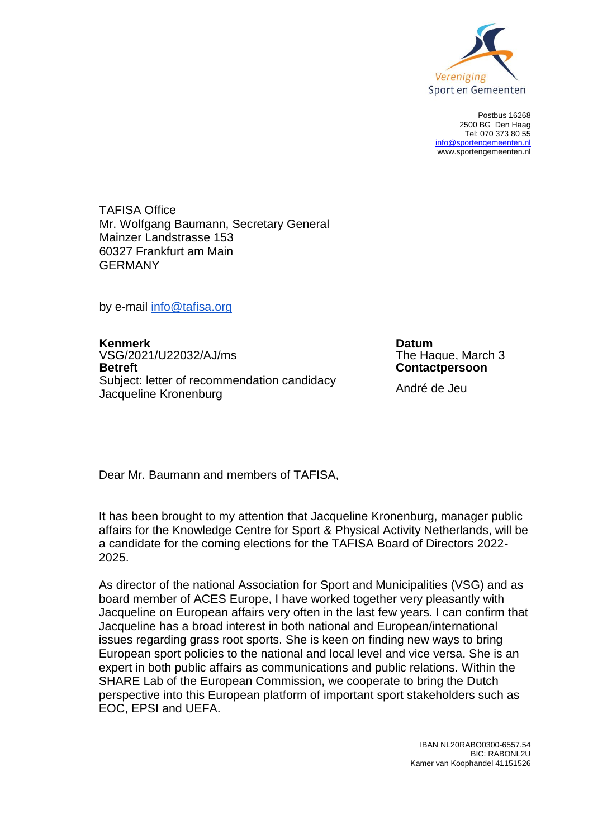

Postbus 16268 2500 BG Den Haag Tel: 070 373 80 55 [info@sportengemeenten.nl](mailto:info@sportengemeenten.nl) www.sportengemeenten.nl

TAFISA Office Mr. Wolfgang Baumann, Secretary General Mainzer Landstrasse 153 60327 Frankfurt am Main GERMANY

by e-mail [info@tafisa.org](mailto:info@tafisa.org)

**Kenmerk**<br>
VSG/2021/U22032/AJ/ms<br>
VSG/2021/U22032/AJ/ms<br> **Datum**<br>
The Haque. March 3 VSG/2021/U22032/AJ/ms<br>Betreft Subject: letter of recommendation candidacy Subject: Iction of recommendation candidately<br>Jacqueline Kronenburg

**Contactpersoon** 

Dear Mr. Baumann and members of TAFISA,

It has been brought to my attention that Jacqueline Kronenburg, manager public affairs for the Knowledge Centre for Sport & Physical Activity Netherlands, will be a candidate for the coming elections for the TAFISA Board of Directors 2022- 2025.

As director of the national Association for Sport and Municipalities (VSG) and as board member of ACES Europe, I have worked together very pleasantly with Jacqueline on European affairs very often in the last few years. I can confirm that Jacqueline has a broad interest in both national and European/international issues regarding grass root sports. She is keen on finding new ways to bring European sport policies to the national and local level and vice versa. She is an expert in both public affairs as communications and public relations. Within the SHARE Lab of the European Commission, we cooperate to bring the Dutch perspective into this European platform of important sport stakeholders such as EOC, EPSI and UEFA.

> IBAN NL20RABO0300-6557.54 BIC: RABONL2U Kamer van Koophandel 41151526